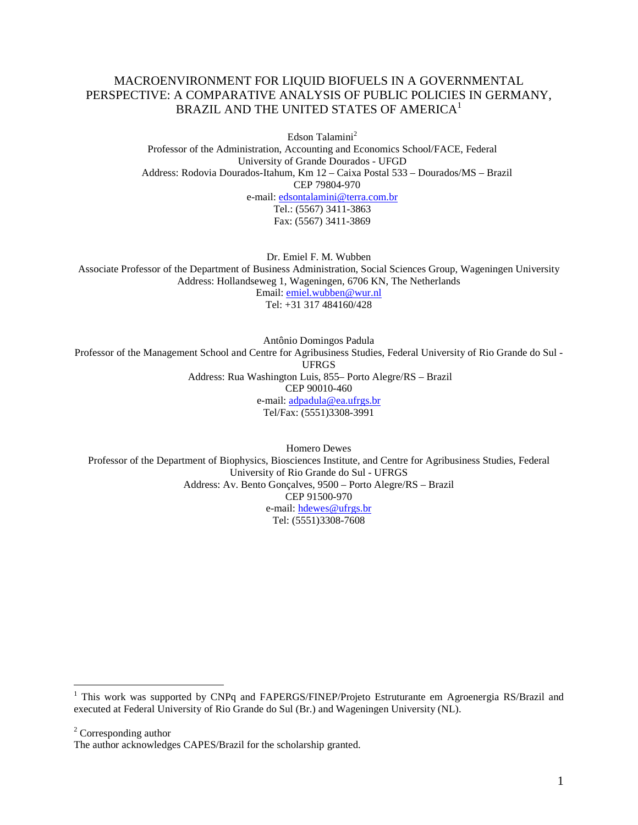#### MACROENVIRONMENT FOR LIQUID BIOFUELS IN A GOVERNMENTAL PERSPECTIVE: A COMPARATIVE ANALYSIS OF PUBLIC POLICIES IN GERMANY, BRAZIL AND THE UNITED STATES OF AMERICA<sup>1</sup>

Edson Talamini<sup>2</sup> Professor of the Administration, Accounting and Economics School/FACE, Federal University of Grande Dourados - UFGD Address: Rodovia Dourados-Itahum, Km 12 – Caixa Postal 533 – Dourados/MS – Brazil CEP 79804-970 e-mail: edsontalamini@terra.com.br Tel.: (5567) 3411-3863 Fax: (5567) 3411-3869

Dr. Emiel F. M. Wubben Associate Professor of the Department of Business Administration, Social Sciences Group, Wageningen University Address: Hollandseweg 1, Wageningen, 6706 KN, The Netherlands Email: emiel.wubben@wur.nl Tel: +31 317 484160/428

Antônio Domingos Padula Professor of the Management School and Centre for Agribusiness Studies, Federal University of Rio Grande do Sul - UFRGS Address: Rua Washington Luis, 855– Porto Alegre/RS – Brazil CEP 90010-460 e-mail: adpadula@ea.ufrgs.br Tel/Fax: (5551)3308-3991

Homero Dewes Professor of the Department of Biophysics, Biosciences Institute, and Centre for Agribusiness Studies, Federal University of Rio Grande do Sul - UFRGS Address: Av. Bento Gonçalves, 9500 – Porto Alegre/RS – Brazil CEP 91500-970 e-mail: hdewes@ufrgs.br Tel: (5551)3308-7608

<sup>2</sup> Corresponding author

 $\overline{a}$ 

<sup>&</sup>lt;sup>1</sup> This work was supported by CNPq and FAPERGS/FINEP/Projeto Estruturante em Agroenergia RS/Brazil and executed at Federal University of Rio Grande do Sul (Br.) and Wageningen University (NL).

The author acknowledges CAPES/Brazil for the scholarship granted.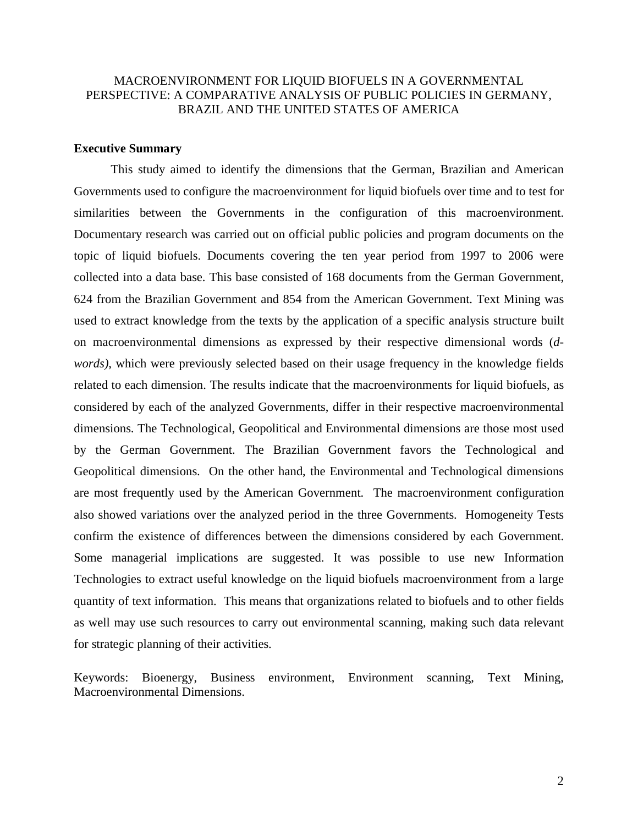### MACROENVIRONMENT FOR LIQUID BIOFUELS IN A GOVERNMENTAL PERSPECTIVE: A COMPARATIVE ANALYSIS OF PUBLIC POLICIES IN GERMANY, BRAZIL AND THE UNITED STATES OF AMERICA

#### **Executive Summary**

This study aimed to identify the dimensions that the German, Brazilian and American Governments used to configure the macroenvironment for liquid biofuels over time and to test for similarities between the Governments in the configuration of this macroenvironment. Documentary research was carried out on official public policies and program documents on the topic of liquid biofuels. Documents covering the ten year period from 1997 to 2006 were collected into a data base. This base consisted of 168 documents from the German Government, 624 from the Brazilian Government and 854 from the American Government. Text Mining was used to extract knowledge from the texts by the application of a specific analysis structure built on macroenvironmental dimensions as expressed by their respective dimensional words (*dwords)*, which were previously selected based on their usage frequency in the knowledge fields related to each dimension. The results indicate that the macroenvironments for liquid biofuels, as considered by each of the analyzed Governments, differ in their respective macroenvironmental dimensions. The Technological, Geopolitical and Environmental dimensions are those most used by the German Government. The Brazilian Government favors the Technological and Geopolitical dimensions. On the other hand, the Environmental and Technological dimensions are most frequently used by the American Government. The macroenvironment configuration also showed variations over the analyzed period in the three Governments. Homogeneity Tests confirm the existence of differences between the dimensions considered by each Government. Some managerial implications are suggested. It was possible to use new Information Technologies to extract useful knowledge on the liquid biofuels macroenvironment from a large quantity of text information. This means that organizations related to biofuels and to other fields as well may use such resources to carry out environmental scanning, making such data relevant for strategic planning of their activities.

Keywords: Bioenergy, Business environment, Environment scanning, Text Mining, Macroenvironmental Dimensions.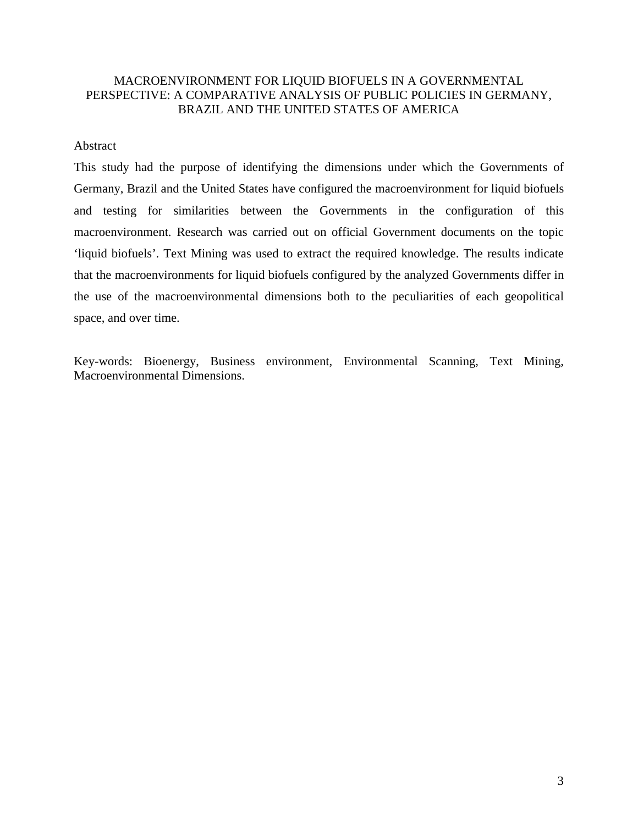### MACROENVIRONMENT FOR LIQUID BIOFUELS IN A GOVERNMENTAL PERSPECTIVE: A COMPARATIVE ANALYSIS OF PUBLIC POLICIES IN GERMANY, BRAZIL AND THE UNITED STATES OF AMERICA

#### Abstract

This study had the purpose of identifying the dimensions under which the Governments of Germany, Brazil and the United States have configured the macroenvironment for liquid biofuels and testing for similarities between the Governments in the configuration of this macroenvironment. Research was carried out on official Government documents on the topic 'liquid biofuels'. Text Mining was used to extract the required knowledge. The results indicate that the macroenvironments for liquid biofuels configured by the analyzed Governments differ in the use of the macroenvironmental dimensions both to the peculiarities of each geopolitical space, and over time.

Key-words: Bioenergy, Business environment, Environmental Scanning, Text Mining, Macroenvironmental Dimensions.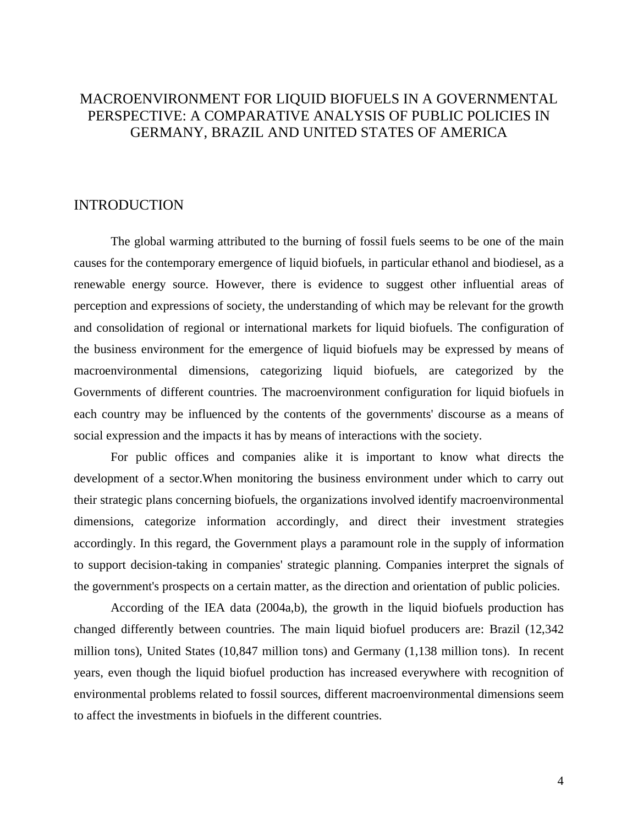# MACROENVIRONMENT FOR LIQUID BIOFUELS IN A GOVERNMENTAL PERSPECTIVE: A COMPARATIVE ANALYSIS OF PUBLIC POLICIES IN GERMANY, BRAZIL AND UNITED STATES OF AMERICA

### INTRODUCTION

The global warming attributed to the burning of fossil fuels seems to be one of the main causes for the contemporary emergence of liquid biofuels, in particular ethanol and biodiesel, as a renewable energy source. However, there is evidence to suggest other influential areas of perception and expressions of society, the understanding of which may be relevant for the growth and consolidation of regional or international markets for liquid biofuels. The configuration of the business environment for the emergence of liquid biofuels may be expressed by means of macroenvironmental dimensions, categorizing liquid biofuels, are categorized by the Governments of different countries. The macroenvironment configuration for liquid biofuels in each country may be influenced by the contents of the governments' discourse as a means of social expression and the impacts it has by means of interactions with the society.

For public offices and companies alike it is important to know what directs the development of a sector.When monitoring the business environment under which to carry out their strategic plans concerning biofuels, the organizations involved identify macroenvironmental dimensions, categorize information accordingly, and direct their investment strategies accordingly. In this regard, the Government plays a paramount role in the supply of information to support decision-taking in companies' strategic planning. Companies interpret the signals of the government's prospects on a certain matter, as the direction and orientation of public policies.

According of the IEA data (2004a,b), the growth in the liquid biofuels production has changed differently between countries. The main liquid biofuel producers are: Brazil (12,342 million tons), United States (10,847 million tons) and Germany (1,138 million tons). In recent years, even though the liquid biofuel production has increased everywhere with recognition of environmental problems related to fossil sources, different macroenvironmental dimensions seem to affect the investments in biofuels in the different countries.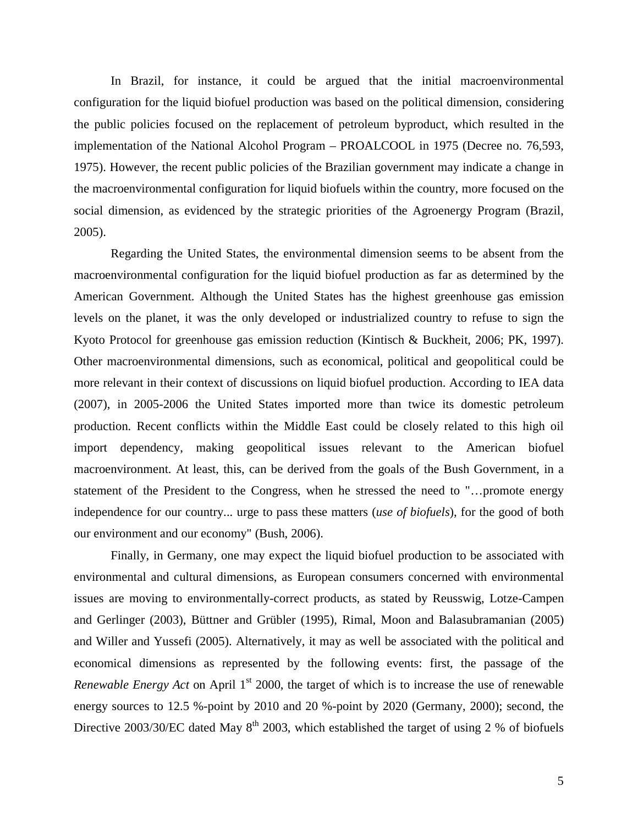In Brazil, for instance, it could be argued that the initial macroenvironmental configuration for the liquid biofuel production was based on the political dimension, considering the public policies focused on the replacement of petroleum byproduct, which resulted in the implementation of the National Alcohol Program – PROALCOOL in 1975 (Decree no. 76,593, 1975). However, the recent public policies of the Brazilian government may indicate a change in the macroenvironmental configuration for liquid biofuels within the country, more focused on the social dimension, as evidenced by the strategic priorities of the Agroenergy Program (Brazil, 2005).

Regarding the United States, the environmental dimension seems to be absent from the macroenvironmental configuration for the liquid biofuel production as far as determined by the American Government. Although the United States has the highest greenhouse gas emission levels on the planet, it was the only developed or industrialized country to refuse to sign the Kyoto Protocol for greenhouse gas emission reduction (Kintisch & Buckheit, 2006; PK, 1997). Other macroenvironmental dimensions, such as economical, political and geopolitical could be more relevant in their context of discussions on liquid biofuel production. According to IEA data (2007), in 2005-2006 the United States imported more than twice its domestic petroleum production. Recent conflicts within the Middle East could be closely related to this high oil import dependency, making geopolitical issues relevant to the American biofuel macroenvironment. At least, this, can be derived from the goals of the Bush Government, in a statement of the President to the Congress, when he stressed the need to "…promote energy independence for our country... urge to pass these matters (*use of biofuels*), for the good of both our environment and our economy" (Bush, 2006).

Finally, in Germany, one may expect the liquid biofuel production to be associated with environmental and cultural dimensions, as European consumers concerned with environmental issues are moving to environmentally-correct products, as stated by Reusswig, Lotze-Campen and Gerlinger (2003), Büttner and Grübler (1995), Rimal, Moon and Balasubramanian (2005) and Willer and Yussefi (2005). Alternatively, it may as well be associated with the political and economical dimensions as represented by the following events: first, the passage of the *Renewable Energy Act* on April 1<sup>st</sup> 2000, the target of which is to increase the use of renewable energy sources to 12.5 %-point by 2010 and 20 %-point by 2020 (Germany, 2000); second, the Directive 2003/30/EC dated May  $8<sup>th</sup>$  2003, which established the target of using 2 % of biofuels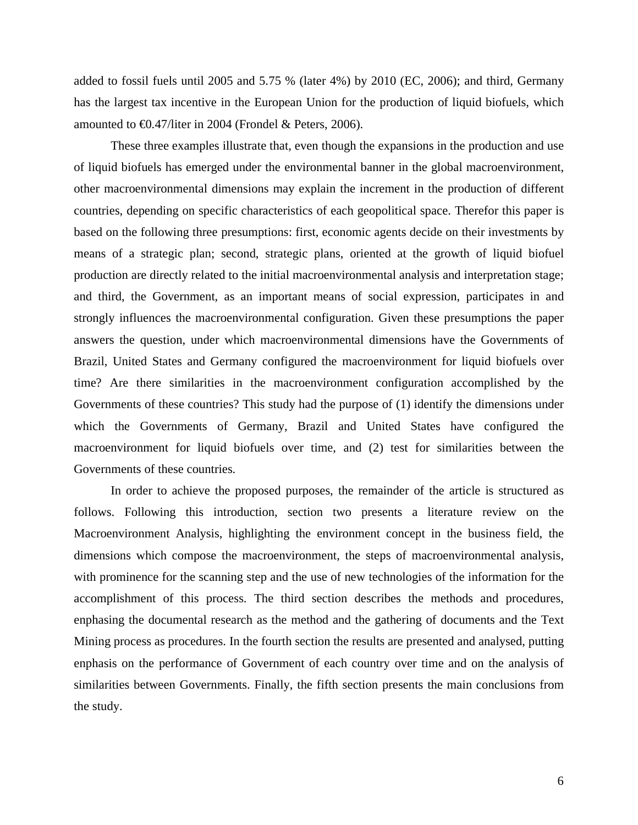added to fossil fuels until 2005 and 5.75 % (later 4%) by 2010 (EC, 2006); and third, Germany has the largest tax incentive in the European Union for the production of liquid biofuels, which amounted to €0.47/liter in 2004 (Frondel & Peters, 2006).

 These three examples illustrate that, even though the expansions in the production and use of liquid biofuels has emerged under the environmental banner in the global macroenvironment, other macroenvironmental dimensions may explain the increment in the production of different countries, depending on specific characteristics of each geopolitical space. Therefor this paper is based on the following three presumptions: first, economic agents decide on their investments by means of a strategic plan; second, strategic plans, oriented at the growth of liquid biofuel production are directly related to the initial macroenvironmental analysis and interpretation stage; and third, the Government, as an important means of social expression, participates in and strongly influences the macroenvironmental configuration. Given these presumptions the paper answers the question, under which macroenvironmental dimensions have the Governments of Brazil, United States and Germany configured the macroenvironment for liquid biofuels over time? Are there similarities in the macroenvironment configuration accomplished by the Governments of these countries? This study had the purpose of (1) identify the dimensions under which the Governments of Germany, Brazil and United States have configured the macroenvironment for liquid biofuels over time, and (2) test for similarities between the Governments of these countries.

In order to achieve the proposed purposes, the remainder of the article is structured as follows. Following this introduction, section two presents a literature review on the Macroenvironment Analysis, highlighting the environment concept in the business field, the dimensions which compose the macroenvironment, the steps of macroenvironmental analysis, with prominence for the scanning step and the use of new technologies of the information for the accomplishment of this process. The third section describes the methods and procedures, enphasing the documental research as the method and the gathering of documents and the Text Mining process as procedures. In the fourth section the results are presented and analysed, putting enphasis on the performance of Government of each country over time and on the analysis of similarities between Governments. Finally, the fifth section presents the main conclusions from the study.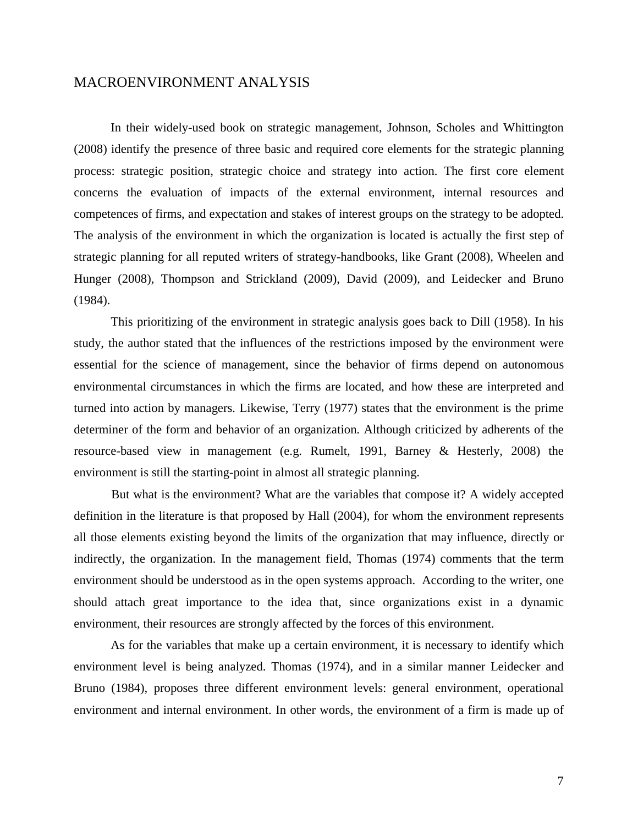### MACROENVIRONMENT ANALYSIS

In their widely-used book on strategic management, Johnson, Scholes and Whittington (2008) identify the presence of three basic and required core elements for the strategic planning process: strategic position, strategic choice and strategy into action. The first core element concerns the evaluation of impacts of the external environment, internal resources and competences of firms, and expectation and stakes of interest groups on the strategy to be adopted. The analysis of the environment in which the organization is located is actually the first step of strategic planning for all reputed writers of strategy-handbooks, like Grant (2008), Wheelen and Hunger (2008), Thompson and Strickland (2009), David (2009), and Leidecker and Bruno (1984).

This prioritizing of the environment in strategic analysis goes back to Dill (1958). In his study, the author stated that the influences of the restrictions imposed by the environment were essential for the science of management, since the behavior of firms depend on autonomous environmental circumstances in which the firms are located, and how these are interpreted and turned into action by managers. Likewise, Terry (1977) states that the environment is the prime determiner of the form and behavior of an organization. Although criticized by adherents of the resource-based view in management (e.g. Rumelt, 1991, Barney & Hesterly, 2008) the environment is still the starting-point in almost all strategic planning.

But what is the environment? What are the variables that compose it? A widely accepted definition in the literature is that proposed by Hall (2004), for whom the environment represents all those elements existing beyond the limits of the organization that may influence, directly or indirectly, the organization. In the management field, Thomas (1974) comments that the term environment should be understood as in the open systems approach. According to the writer, one should attach great importance to the idea that, since organizations exist in a dynamic environment, their resources are strongly affected by the forces of this environment.

 As for the variables that make up a certain environment, it is necessary to identify which environment level is being analyzed. Thomas (1974), and in a similar manner Leidecker and Bruno (1984), proposes three different environment levels: general environment, operational environment and internal environment. In other words, the environment of a firm is made up of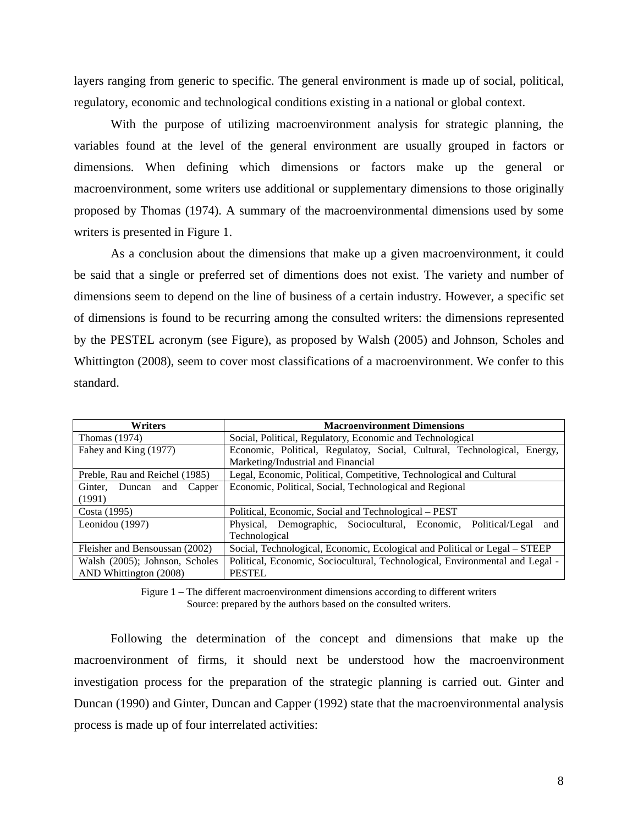layers ranging from generic to specific. The general environment is made up of social, political, regulatory, economic and technological conditions existing in a national or global context.

With the purpose of utilizing macroenvironment analysis for strategic planning, the variables found at the level of the general environment are usually grouped in factors or dimensions. When defining which dimensions or factors make up the general or macroenvironment, some writers use additional or supplementary dimensions to those originally proposed by Thomas (1974). A summary of the macroenvironmental dimensions used by some writers is presented in Figure 1.

As a conclusion about the dimensions that make up a given macroenvironment, it could be said that a single or preferred set of dimentions does not exist. The variety and number of dimensions seem to depend on the line of business of a certain industry. However, a specific set of dimensions is found to be recurring among the consulted writers: the dimensions represented by the PESTEL acronym (see Figure), as proposed by Walsh (2005) and Johnson, Scholes and Whittington (2008), seem to cover most classifications of a macroenvironment. We confer to this standard.

| <b>Writers</b>                  | <b>Macroenvironment Dimensions</b>                                           |  |  |  |
|---------------------------------|------------------------------------------------------------------------------|--|--|--|
| Thomas $(1974)$                 | Social, Political, Regulatory, Economic and Technological                    |  |  |  |
| Fahey and King (1977)           | Economic, Political, Regulatoy, Social, Cultural, Technological, Energy,     |  |  |  |
|                                 | Marketing/Industrial and Financial                                           |  |  |  |
| Preble, Rau and Reichel (1985)  | Legal, Economic, Political, Competitive, Technological and Cultural          |  |  |  |
| Ginter, Duncan<br>Capper<br>and | Economic, Political, Social, Technological and Regional                      |  |  |  |
| (1991)                          |                                                                              |  |  |  |
| Costa (1995)                    | Political, Economic, Social and Technological - PEST                         |  |  |  |
| Leonidou (1997)                 | Physical, Demographic, Sociocultural, Economic, Political/Legal<br>and       |  |  |  |
|                                 | Technological                                                                |  |  |  |
| Fleisher and Bensoussan (2002)  | Social, Technological, Economic, Ecological and Political or Legal - STEEP   |  |  |  |
| Walsh (2005); Johnson, Scholes  | Political, Economic, Sociocultural, Technological, Environmental and Legal - |  |  |  |
| AND Whittington (2008)          | <b>PESTEL</b>                                                                |  |  |  |

Figure 1 – The different macroenvironment dimensions according to different writers Source: prepared by the authors based on the consulted writers.

Following the determination of the concept and dimensions that make up the macroenvironment of firms, it should next be understood how the macroenvironment investigation process for the preparation of the strategic planning is carried out. Ginter and Duncan (1990) and Ginter, Duncan and Capper (1992) state that the macroenvironmental analysis process is made up of four interrelated activities: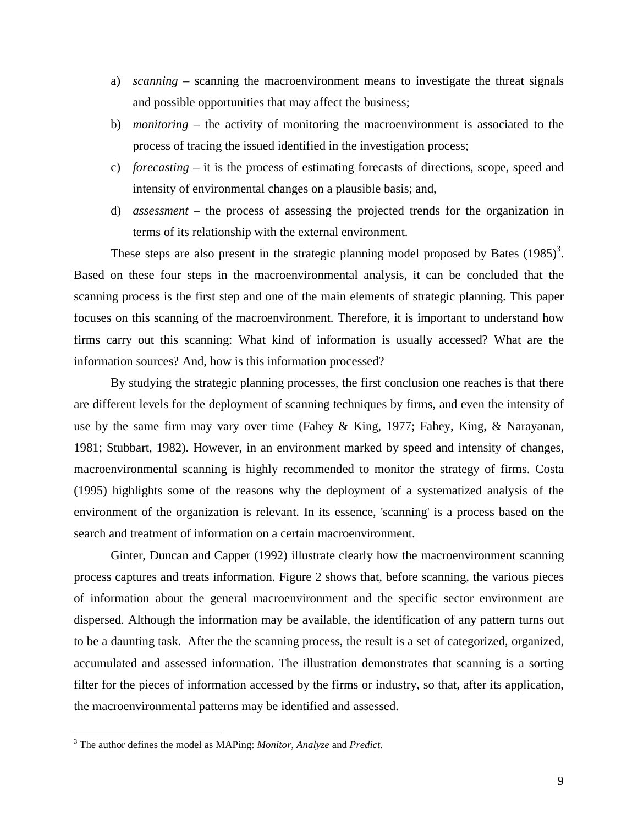- a) *scanning* scanning the macroenvironment means to investigate the threat signals and possible opportunities that may affect the business;
- b) *monitoring* the activity of monitoring the macroenvironment is associated to the process of tracing the issued identified in the investigation process;
- c) *forecasting* it is the process of estimating forecasts of directions, scope, speed and intensity of environmental changes on a plausible basis; and,
- d) *assessment*  the process of assessing the projected trends for the organization in terms of its relationship with the external environment.

These steps are also present in the strategic planning model proposed by Bates  $(1985)^3$ . Based on these four steps in the macroenvironmental analysis, it can be concluded that the scanning process is the first step and one of the main elements of strategic planning. This paper focuses on this scanning of the macroenvironment. Therefore, it is important to understand how firms carry out this scanning: What kind of information is usually accessed? What are the information sources? And, how is this information processed?

 By studying the strategic planning processes, the first conclusion one reaches is that there are different levels for the deployment of scanning techniques by firms, and even the intensity of use by the same firm may vary over time (Fahey & King, 1977; Fahey, King, & Narayanan, 1981; Stubbart, 1982). However, in an environment marked by speed and intensity of changes, macroenvironmental scanning is highly recommended to monitor the strategy of firms. Costa (1995) highlights some of the reasons why the deployment of a systematized analysis of the environment of the organization is relevant. In its essence, 'scanning' is a process based on the search and treatment of information on a certain macroenvironment.

 Ginter, Duncan and Capper (1992) illustrate clearly how the macroenvironment scanning process captures and treats information. Figure 2 shows that, before scanning, the various pieces of information about the general macroenvironment and the specific sector environment are dispersed. Although the information may be available, the identification of any pattern turns out to be a daunting task. After the the scanning process, the result is a set of categorized, organized, accumulated and assessed information. The illustration demonstrates that scanning is a sorting filter for the pieces of information accessed by the firms or industry, so that, after its application, the macroenvironmental patterns may be identified and assessed.

 3 The author defines the model as MAPing: *Monitor*, *Analyze* and *Predict*.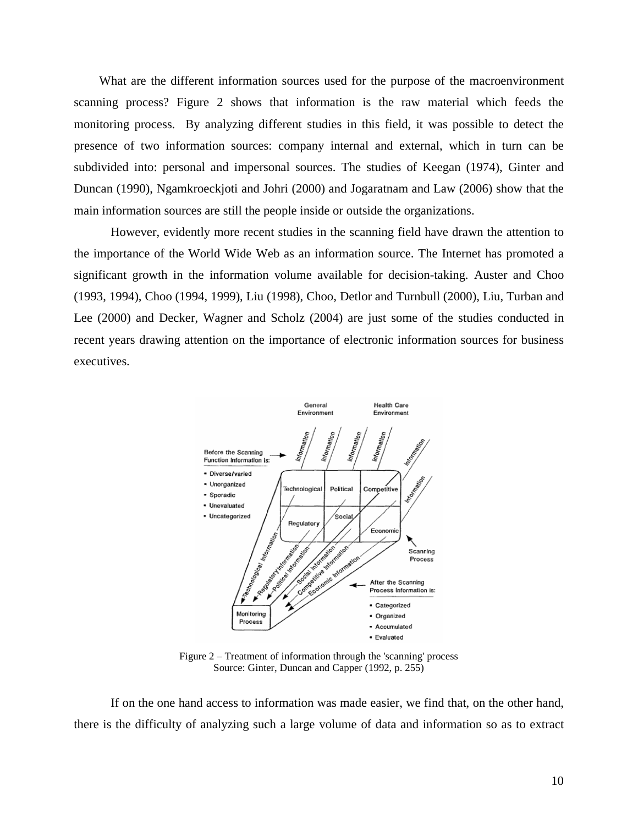What are the different information sources used for the purpose of the macroenvironment scanning process? Figure 2 shows that information is the raw material which feeds the monitoring process. By analyzing different studies in this field, it was possible to detect the presence of two information sources: company internal and external, which in turn can be subdivided into: personal and impersonal sources. The studies of Keegan (1974), Ginter and Duncan (1990), Ngamkroeckjoti and Johri (2000) and Jogaratnam and Law (2006) show that the main information sources are still the people inside or outside the organizations.

 However, evidently more recent studies in the scanning field have drawn the attention to the importance of the World Wide Web as an information source. The Internet has promoted a significant growth in the information volume available for decision-taking. Auster and Choo (1993, 1994), Choo (1994, 1999), Liu (1998), Choo, Detlor and Turnbull (2000), Liu, Turban and Lee (2000) and Decker, Wagner and Scholz (2004) are just some of the studies conducted in recent years drawing attention on the importance of electronic information sources for business executives.



Figure 2 – Treatment of information through the 'scanning' process Source: Ginter, Duncan and Capper (1992, p. 255)

 If on the one hand access to information was made easier, we find that, on the other hand, there is the difficulty of analyzing such a large volume of data and information so as to extract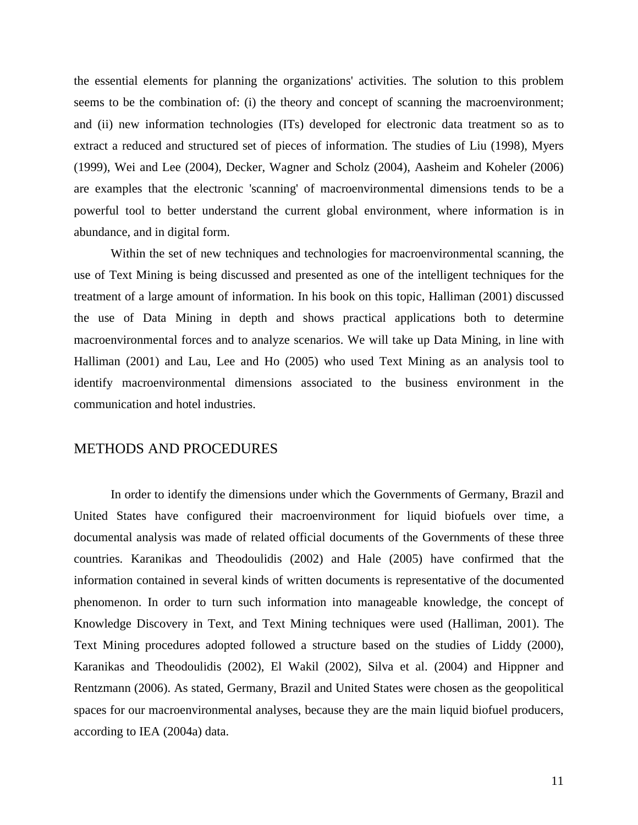the essential elements for planning the organizations' activities. The solution to this problem seems to be the combination of: (i) the theory and concept of scanning the macroenvironment; and (ii) new information technologies (ITs) developed for electronic data treatment so as to extract a reduced and structured set of pieces of information. The studies of Liu (1998), Myers (1999), Wei and Lee (2004), Decker, Wagner and Scholz (2004), Aasheim and Koheler (2006) are examples that the electronic 'scanning' of macroenvironmental dimensions tends to be a powerful tool to better understand the current global environment, where information is in abundance, and in digital form.

 Within the set of new techniques and technologies for macroenvironmental scanning, the use of Text Mining is being discussed and presented as one of the intelligent techniques for the treatment of a large amount of information. In his book on this topic, Halliman (2001) discussed the use of Data Mining in depth and shows practical applications both to determine macroenvironmental forces and to analyze scenarios. We will take up Data Mining, in line with Halliman (2001) and Lau, Lee and Ho (2005) who used Text Mining as an analysis tool to identify macroenvironmental dimensions associated to the business environment in the communication and hotel industries.

#### METHODS AND PROCEDURES

 In order to identify the dimensions under which the Governments of Germany, Brazil and United States have configured their macroenvironment for liquid biofuels over time, a documental analysis was made of related official documents of the Governments of these three countries. Karanikas and Theodoulidis (2002) and Hale (2005) have confirmed that the information contained in several kinds of written documents is representative of the documented phenomenon. In order to turn such information into manageable knowledge, the concept of Knowledge Discovery in Text, and Text Mining techniques were used (Halliman, 2001). The Text Mining procedures adopted followed a structure based on the studies of Liddy (2000), Karanikas and Theodoulidis (2002), El Wakil (2002), Silva et al. (2004) and Hippner and Rentzmann (2006). As stated, Germany, Brazil and United States were chosen as the geopolitical spaces for our macroenvironmental analyses, because they are the main liquid biofuel producers, according to IEA (2004a) data.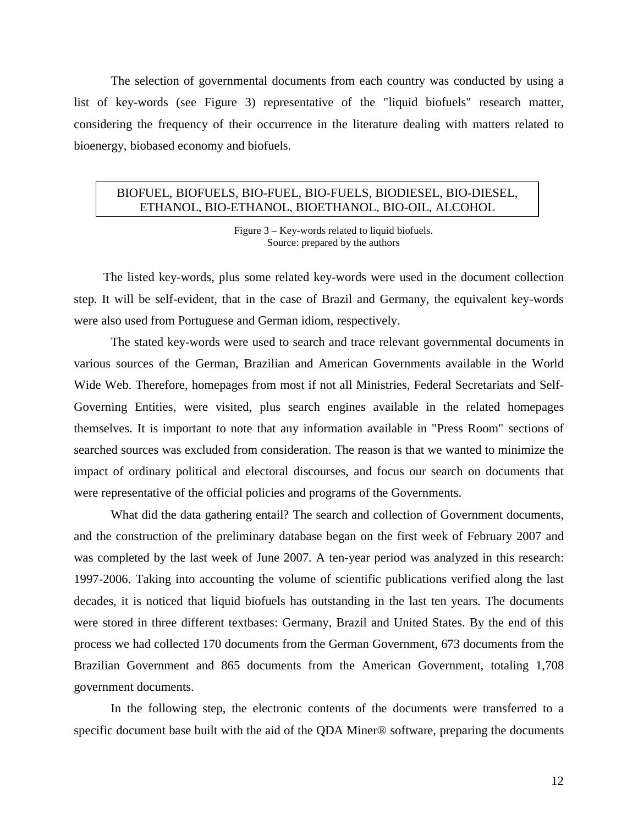The selection of governmental documents from each country was conducted by using a list of key-words (see Figure 3) representative of the "liquid biofuels" research matter, considering the frequency of their occurrence in the literature dealing with matters related to bioenergy, biobased economy and biofuels.

#### BIOFUEL, BIOFUELS, BIO-FUEL, BIO-FUELS, BIODIESEL, BIO-DIESEL, ETHANOL, BIO-ETHANOL, BIOETHANOL, BIO-OIL, ALCOHOL

Figure 3 – Key-words related to liquid biofuels. Source: prepared by the authors

The listed key-words, plus some related key-words were used in the document collection step. It will be self-evident, that in the case of Brazil and Germany, the equivalent key-words were also used from Portuguese and German idiom, respectively.

The stated key-words were used to search and trace relevant governmental documents in various sources of the German, Brazilian and American Governments available in the World Wide Web. Therefore, homepages from most if not all Ministries, Federal Secretariats and Self-Governing Entities, were visited, plus search engines available in the related homepages themselves. It is important to note that any information available in "Press Room" sections of searched sources was excluded from consideration. The reason is that we wanted to minimize the impact of ordinary political and electoral discourses, and focus our search on documents that were representative of the official policies and programs of the Governments.

What did the data gathering entail? The search and collection of Government documents, and the construction of the preliminary database began on the first week of February 2007 and was completed by the last week of June 2007. A ten-year period was analyzed in this research: 1997-2006. Taking into accounting the volume of scientific publications verified along the last decades, it is noticed that liquid biofuels has outstanding in the last ten years. The documents were stored in three different textbases: Germany, Brazil and United States. By the end of this process we had collected 170 documents from the German Government, 673 documents from the Brazilian Government and 865 documents from the American Government, totaling 1,708 government documents.

 In the following step, the electronic contents of the documents were transferred to a specific document base built with the aid of the QDA Miner<sup>®</sup> software, preparing the documents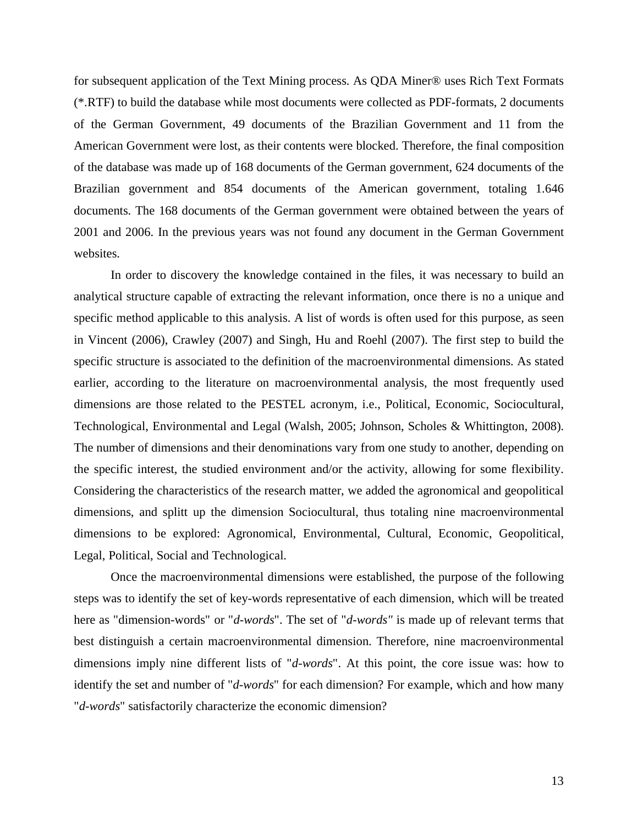for subsequent application of the Text Mining process. As QDA Miner® uses Rich Text Formats (\*.RTF) to build the database while most documents were collected as PDF-formats, 2 documents of the German Government, 49 documents of the Brazilian Government and 11 from the American Government were lost, as their contents were blocked. Therefore, the final composition of the database was made up of 168 documents of the German government, 624 documents of the Brazilian government and 854 documents of the American government, totaling 1.646 documents. The 168 documents of the German government were obtained between the years of 2001 and 2006. In the previous years was not found any document in the German Government websites.

 In order to discovery the knowledge contained in the files, it was necessary to build an analytical structure capable of extracting the relevant information, once there is no a unique and specific method applicable to this analysis. A list of words is often used for this purpose, as seen in Vincent (2006), Crawley (2007) and Singh, Hu and Roehl (2007). The first step to build the specific structure is associated to the definition of the macroenvironmental dimensions. As stated earlier, according to the literature on macroenvironmental analysis, the most frequently used dimensions are those related to the PESTEL acronym, i.e., Political, Economic, Sociocultural, Technological, Environmental and Legal (Walsh, 2005; Johnson, Scholes & Whittington, 2008). The number of dimensions and their denominations vary from one study to another, depending on the specific interest, the studied environment and/or the activity, allowing for some flexibility. Considering the characteristics of the research matter, we added the agronomical and geopolitical dimensions, and splitt up the dimension Sociocultural, thus totaling nine macroenvironmental dimensions to be explored: Agronomical, Environmental, Cultural, Economic, Geopolitical, Legal, Political, Social and Technological.

 Once the macroenvironmental dimensions were established, the purpose of the following steps was to identify the set of key-words representative of each dimension, which will be treated here as "dimension-words" or "*d-words*". The set of "*d-words"* is made up of relevant terms that best distinguish a certain macroenvironmental dimension. Therefore, nine macroenvironmental dimensions imply nine different lists of "*d-words*". At this point, the core issue was: how to identify the set and number of "*d-words*" for each dimension? For example, which and how many "*d-words*" satisfactorily characterize the economic dimension?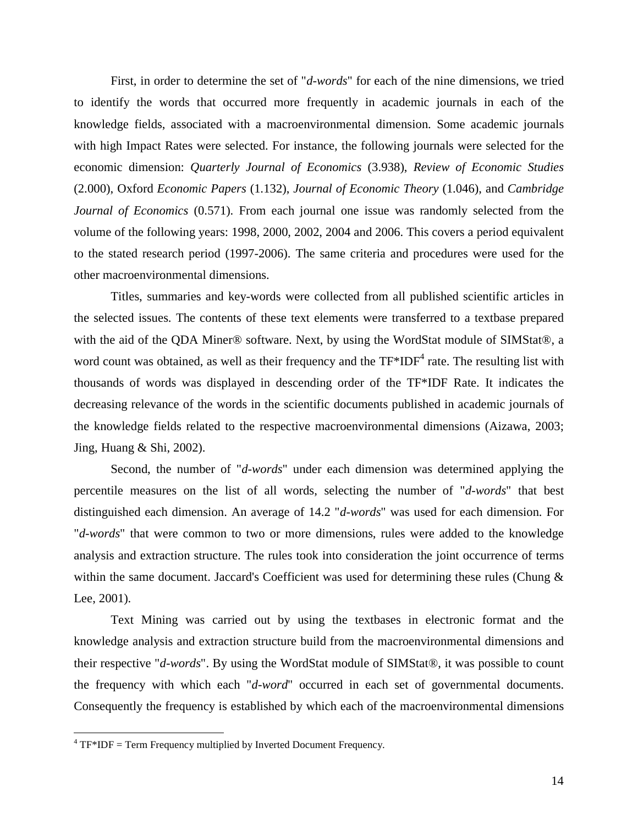First, in order to determine the set of "*d-words*" for each of the nine dimensions, we tried to identify the words that occurred more frequently in academic journals in each of the knowledge fields, associated with a macroenvironmental dimension. Some academic journals with high Impact Rates were selected. For instance, the following journals were selected for the economic dimension: *Quarterly Journal of Economics* (3.938), *Review of Economic Studies* (2.000), Oxford *Economic Papers* (1.132), *Journal of Economic Theory* (1.046), and *Cambridge Journal of Economics* (0.571). From each journal one issue was randomly selected from the volume of the following years: 1998, 2000, 2002, 2004 and 2006. This covers a period equivalent to the stated research period (1997-2006). The same criteria and procedures were used for the other macroenvironmental dimensions.

Titles, summaries and key-words were collected from all published scientific articles in the selected issues. The contents of these text elements were transferred to a textbase prepared with the aid of the QDA Miner® software. Next, by using the WordStat module of SIMStat®, a word count was obtained, as well as their frequency and the  $TF^*IDF^4$  rate. The resulting list with thousands of words was displayed in descending order of the TF\*IDF Rate. It indicates the decreasing relevance of the words in the scientific documents published in academic journals of the knowledge fields related to the respective macroenvironmental dimensions (Aizawa, 2003; Jing, Huang & Shi, 2002).

Second, the number of "*d-words*" under each dimension was determined applying the percentile measures on the list of all words, selecting the number of "*d-words*" that best distinguished each dimension. An average of 14.2 "*d-words*" was used for each dimension. For "*d-words*" that were common to two or more dimensions, rules were added to the knowledge analysis and extraction structure. The rules took into consideration the joint occurrence of terms within the same document. Jaccard's Coefficient was used for determining these rules (Chung  $\&$ Lee, 2001).

 Text Mining was carried out by using the textbases in electronic format and the knowledge analysis and extraction structure build from the macroenvironmental dimensions and their respective "*d-words*". By using the WordStat module of SIMStat®, it was possible to count the frequency with which each "*d-word*" occurred in each set of governmental documents. Consequently the frequency is established by which each of the macroenvironmental dimensions

 $\overline{a}$ 

 $4$  TF $*$ IDF = Term Frequency multiplied by Inverted Document Frequency.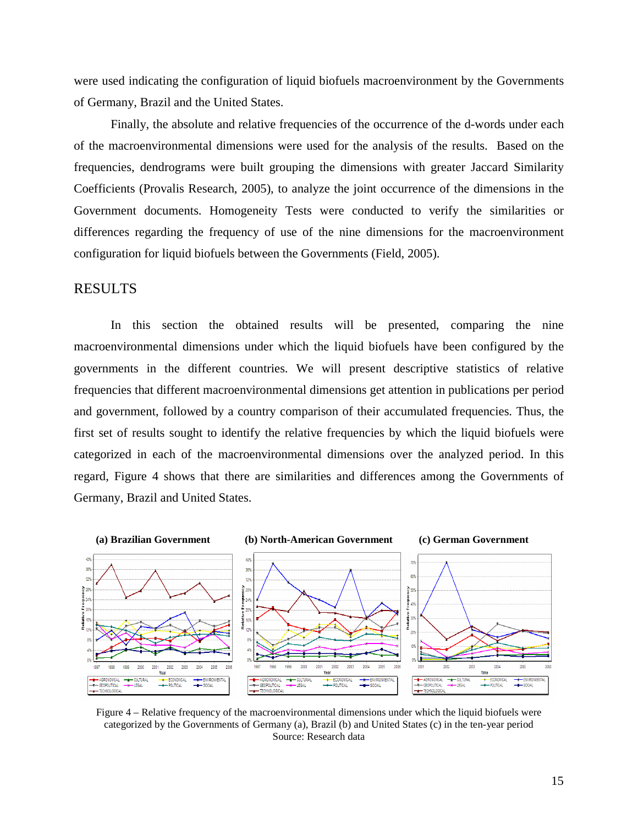were used indicating the configuration of liquid biofuels macroenvironment by the Governments of Germany, Brazil and the United States.

Finally, the absolute and relative frequencies of the occurrence of the d-words under each of the macroenvironmental dimensions were used for the analysis of the results. Based on the frequencies, dendrograms were built grouping the dimensions with greater Jaccard Similarity Coefficients (Provalis Research, 2005), to analyze the joint occurrence of the dimensions in the Government documents. Homogeneity Tests were conducted to verify the similarities or differences regarding the frequency of use of the nine dimensions for the macroenvironment configuration for liquid biofuels between the Governments (Field, 2005).

### RESULTS

 In this section the obtained results will be presented, comparing the nine macroenvironmental dimensions under which the liquid biofuels have been configured by the governments in the different countries. We will present descriptive statistics of relative frequencies that different macroenvironmental dimensions get attention in publications per period and government, followed by a country comparison of their accumulated frequencies. Thus, the first set of results sought to identify the relative frequencies by which the liquid biofuels were categorized in each of the macroenvironmental dimensions over the analyzed period. In this regard, Figure 4 shows that there are similarities and differences among the Governments of Germany, Brazil and United States.



Figure 4 – Relative frequency of the macroenvironmental dimensions under which the liquid biofuels were categorized by the Governments of Germany (a), Brazil (b) and United States (c) in the ten-year period Source: Research data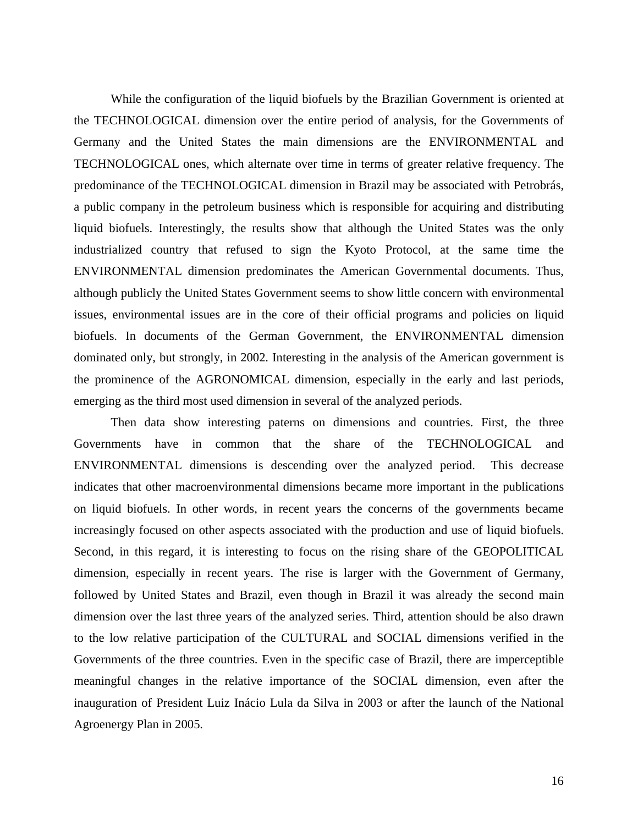While the configuration of the liquid biofuels by the Brazilian Government is oriented at the TECHNOLOGICAL dimension over the entire period of analysis, for the Governments of Germany and the United States the main dimensions are the ENVIRONMENTAL and TECHNOLOGICAL ones, which alternate over time in terms of greater relative frequency. The predominance of the TECHNOLOGICAL dimension in Brazil may be associated with Petrobrás, a public company in the petroleum business which is responsible for acquiring and distributing liquid biofuels. Interestingly, the results show that although the United States was the only industrialized country that refused to sign the Kyoto Protocol, at the same time the ENVIRONMENTAL dimension predominates the American Governmental documents. Thus, although publicly the United States Government seems to show little concern with environmental issues, environmental issues are in the core of their official programs and policies on liquid biofuels. In documents of the German Government, the ENVIRONMENTAL dimension dominated only, but strongly, in 2002. Interesting in the analysis of the American government is the prominence of the AGRONOMICAL dimension, especially in the early and last periods, emerging as the third most used dimension in several of the analyzed periods.

Then data show interesting paterns on dimensions and countries. First, the three Governments have in common that the share of the TECHNOLOGICAL and ENVIRONMENTAL dimensions is descending over the analyzed period. This decrease indicates that other macroenvironmental dimensions became more important in the publications on liquid biofuels. In other words, in recent years the concerns of the governments became increasingly focused on other aspects associated with the production and use of liquid biofuels. Second, in this regard, it is interesting to focus on the rising share of the GEOPOLITICAL dimension, especially in recent years. The rise is larger with the Government of Germany, followed by United States and Brazil, even though in Brazil it was already the second main dimension over the last three years of the analyzed series. Third, attention should be also drawn to the low relative participation of the CULTURAL and SOCIAL dimensions verified in the Governments of the three countries. Even in the specific case of Brazil, there are imperceptible meaningful changes in the relative importance of the SOCIAL dimension, even after the inauguration of President Luiz Inácio Lula da Silva in 2003 or after the launch of the National Agroenergy Plan in 2005.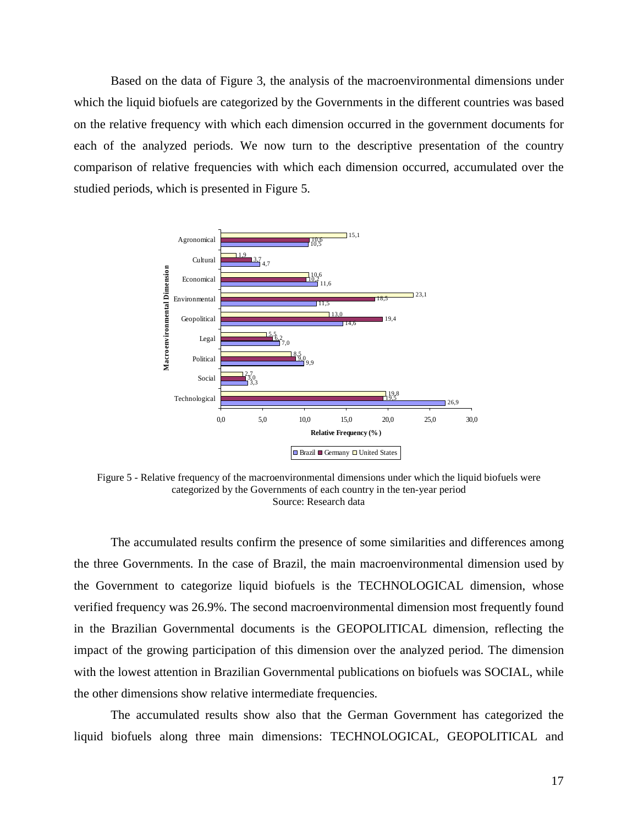Based on the data of Figure 3, the analysis of the macroenvironmental dimensions under which the liquid biofuels are categorized by the Governments in the different countries was based on the relative frequency with which each dimension occurred in the government documents for each of the analyzed periods. We now turn to the descriptive presentation of the country comparison of relative frequencies with which each dimension occurred, accumulated over the studied periods, which is presented in Figure 5.



Figure 5 - Relative frequency of the macroenvironmental dimensions under which the liquid biofuels were categorized by the Governments of each country in the ten-year period Source: Research data

 The accumulated results confirm the presence of some similarities and differences among the three Governments. In the case of Brazil, the main macroenvironmental dimension used by the Government to categorize liquid biofuels is the TECHNOLOGICAL dimension, whose verified frequency was 26.9%. The second macroenvironmental dimension most frequently found in the Brazilian Governmental documents is the GEOPOLITICAL dimension, reflecting the impact of the growing participation of this dimension over the analyzed period. The dimension with the lowest attention in Brazilian Governmental publications on biofuels was SOCIAL, while the other dimensions show relative intermediate frequencies.

 The accumulated results show also that the German Government has categorized the liquid biofuels along three main dimensions: TECHNOLOGICAL, GEOPOLITICAL and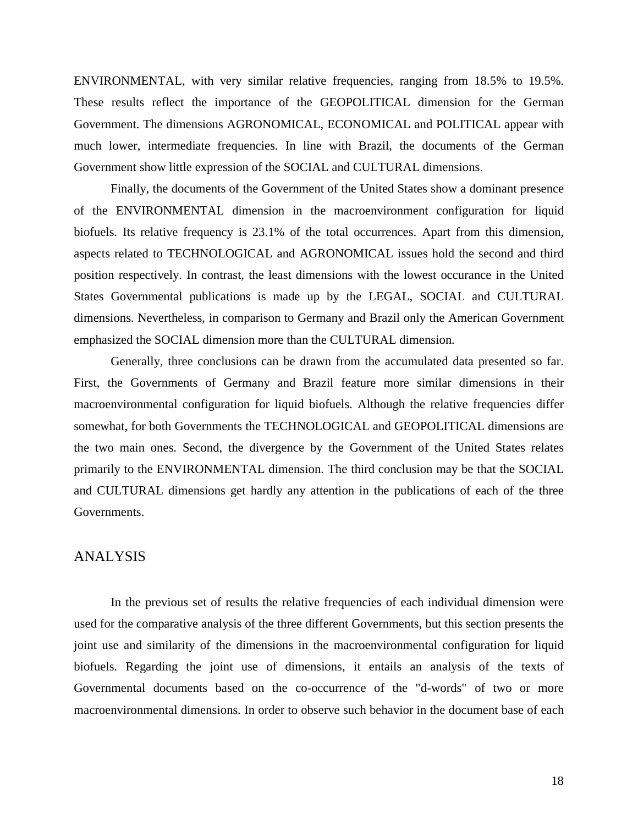ENVIRONMENTAL, with very similar relative frequencies, ranging from 18.5% to 19.5%. These results reflect the importance of the GEOPOLITICAL dimension for the German Government. The dimensions AGRONOMICAL, ECONOMICAL and POLITICAL appear with much lower, intermediate frequencies. In line with Brazil, the documents of the German Government show little expression of the SOCIAL and CULTURAL dimensions.

 Finally, the documents of the Government of the United States show a dominant presence of the ENVIRONMENTAL dimension in the macroenvironment configuration for liquid biofuels. Its relative frequency is 23.1% of the total occurrences. Apart from this dimension, aspects related to TECHNOLOGICAL and AGRONOMICAL issues hold the second and third position respectively. In contrast, the least dimensions with the lowest occurance in the United States Governmental publications is made up by the LEGAL, SOCIAL and CULTURAL dimensions. Nevertheless, in comparison to Germany and Brazil only the American Government emphasized the SOCIAL dimension more than the CULTURAL dimension.

 Generally, three conclusions can be drawn from the accumulated data presented so far. First, the Governments of Germany and Brazil feature more similar dimensions in their macroenvironmental configuration for liquid biofuels. Although the relative frequencies differ somewhat, for both Governments the TECHNOLOGICAL and GEOPOLITICAL dimensions are the two main ones. Second, the divergence by the Government of the United States relates primarily to the ENVIRONMENTAL dimension. The third conclusion may be that the SOCIAL and CULTURAL dimensions get hardly any attention in the publications of each of the three Governments.

### ANALYSIS

 In the previous set of results the relative frequencies of each individual dimension were used for the comparative analysis of the three different Governments, but this section presents the joint use and similarity of the dimensions in the macroenvironmental configuration for liquid biofuels. Regarding the joint use of dimensions, it entails an analysis of the texts of Governmental documents based on the co-occurrence of the "d-words" of two or more macroenvironmental dimensions. In order to observe such behavior in the document base of each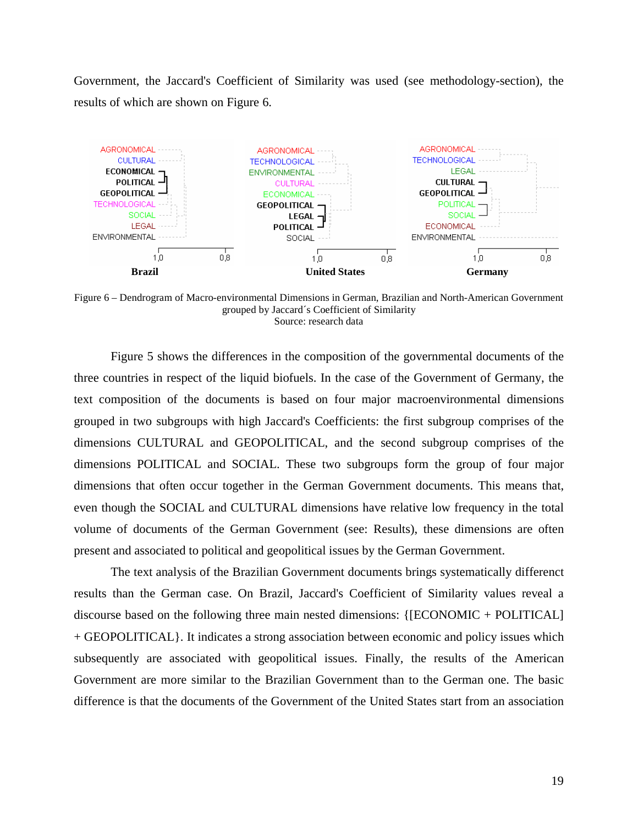Government, the Jaccard's Coefficient of Similarity was used (see methodology-section), the results of which are shown on Figure 6.



Figure 6 – Dendrogram of Macro-environmental Dimensions in German, Brazilian and North-American Government grouped by Jaccard´s Coefficient of Similarity Source: research data

 Figure 5 shows the differences in the composition of the governmental documents of the three countries in respect of the liquid biofuels. In the case of the Government of Germany, the text composition of the documents is based on four major macroenvironmental dimensions grouped in two subgroups with high Jaccard's Coefficients: the first subgroup comprises of the dimensions CULTURAL and GEOPOLITICAL, and the second subgroup comprises of the dimensions POLITICAL and SOCIAL. These two subgroups form the group of four major dimensions that often occur together in the German Government documents. This means that, even though the SOCIAL and CULTURAL dimensions have relative low frequency in the total volume of documents of the German Government (see: Results), these dimensions are often present and associated to political and geopolitical issues by the German Government.

 The text analysis of the Brazilian Government documents brings systematically differenct results than the German case. On Brazil, Jaccard's Coefficient of Similarity values reveal a discourse based on the following three main nested dimensions: {[ECONOMIC + POLITICAL] + GEOPOLITICAL}. It indicates a strong association between economic and policy issues which subsequently are associated with geopolitical issues. Finally, the results of the American Government are more similar to the Brazilian Government than to the German one. The basic difference is that the documents of the Government of the United States start from an association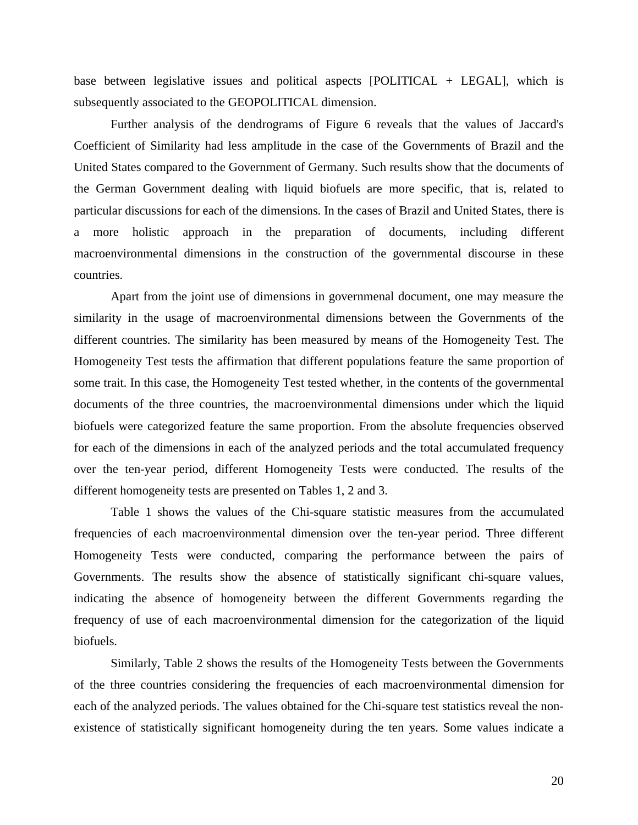base between legislative issues and political aspects  $[POLITICAL + LEGAL]$ , which is subsequently associated to the GEOPOLITICAL dimension.

 Further analysis of the dendrograms of Figure 6 reveals that the values of Jaccard's Coefficient of Similarity had less amplitude in the case of the Governments of Brazil and the United States compared to the Government of Germany. Such results show that the documents of the German Government dealing with liquid biofuels are more specific, that is, related to particular discussions for each of the dimensions. In the cases of Brazil and United States, there is a more holistic approach in the preparation of documents, including different macroenvironmental dimensions in the construction of the governmental discourse in these countries.

 Apart from the joint use of dimensions in governmenal document, one may measure the similarity in the usage of macroenvironmental dimensions between the Governments of the different countries. The similarity has been measured by means of the Homogeneity Test. The Homogeneity Test tests the affirmation that different populations feature the same proportion of some trait. In this case, the Homogeneity Test tested whether, in the contents of the governmental documents of the three countries, the macroenvironmental dimensions under which the liquid biofuels were categorized feature the same proportion. From the absolute frequencies observed for each of the dimensions in each of the analyzed periods and the total accumulated frequency over the ten-year period, different Homogeneity Tests were conducted. The results of the different homogeneity tests are presented on Tables 1, 2 and 3.

 Table 1 shows the values of the Chi-square statistic measures from the accumulated frequencies of each macroenvironmental dimension over the ten-year period. Three different Homogeneity Tests were conducted, comparing the performance between the pairs of Governments. The results show the absence of statistically significant chi-square values, indicating the absence of homogeneity between the different Governments regarding the frequency of use of each macroenvironmental dimension for the categorization of the liquid biofuels.

 Similarly, Table 2 shows the results of the Homogeneity Tests between the Governments of the three countries considering the frequencies of each macroenvironmental dimension for each of the analyzed periods. The values obtained for the Chi-square test statistics reveal the nonexistence of statistically significant homogeneity during the ten years. Some values indicate a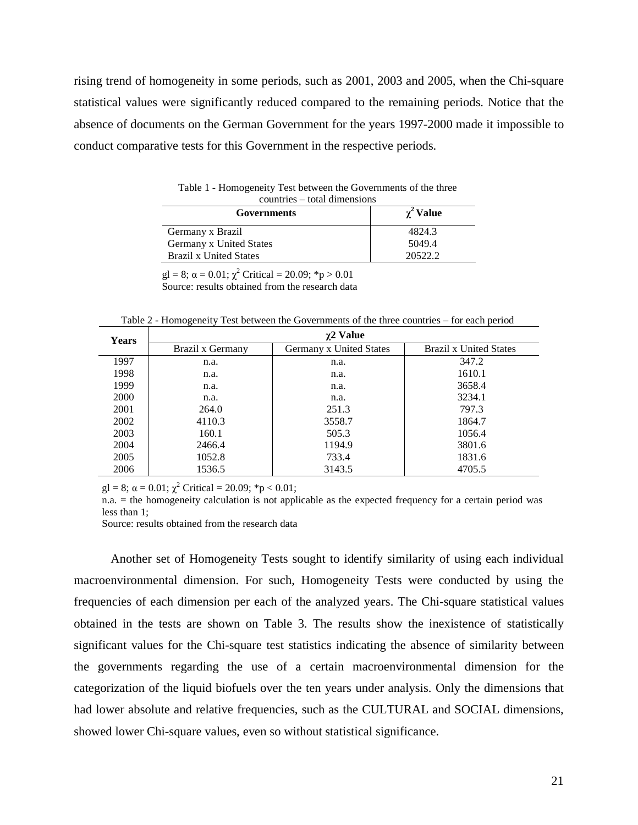rising trend of homogeneity in some periods, such as 2001, 2003 and 2005, when the Chi-square statistical values were significantly reduced compared to the remaining periods. Notice that the absence of documents on the German Government for the years 1997-2000 made it impossible to conduct comparative tests for this Government in the respective periods.

| Governments                   | $\chi^2$ Value |
|-------------------------------|----------------|
| Germany x Brazil              | 4824.3         |
| Germany x United States       | 5049.4         |
| <b>Brazil x United States</b> | 20522.2        |

Table 1 - Homogeneity Test between the Governments of the three  $time = total$ 

gl = 8;  $\alpha$  = 0.01;  $\chi^2$  Critical = 20.09; \*p > 0.01 Source: results obtained from the research data

Table 2 - Homogeneity Test between the Governments of the three countries – for each period

| <b>Years</b> | $\chi$ 2 Value   |                         |                               |  |  |
|--------------|------------------|-------------------------|-------------------------------|--|--|
|              | Brazil x Germany | Germany x United States | <b>Brazil x United States</b> |  |  |
| 1997         | n.a.             | n.a.                    | 347.2                         |  |  |
| 1998         | n.a.             | n.a.                    | 1610.1                        |  |  |
| 1999         | n.a.             | n.a.                    | 3658.4                        |  |  |
| <b>2000</b>  | n.a.             | n.a.                    | 3234.1                        |  |  |
| 2001         | 264.0            | 251.3                   | 797.3                         |  |  |
| 2002         | 4110.3           | 3558.7                  | 1864.7                        |  |  |
| 2003         | 160.1            | 505.3                   | 1056.4                        |  |  |
| 2004         | 2466.4           | 1194.9                  | 3801.6                        |  |  |
| 2005         | 1052.8           | 733.4                   | 1831.6                        |  |  |
| 2006         | 1536.5           | 3143.5                  | 4705.5                        |  |  |

 $gl = 8$ ;  $\alpha = 0.01$ ;  $\chi^2$  Critical = 20.09; \*p < 0.01;

n.a. = the homogeneity calculation is not applicable as the expected frequency for a certain period was less than 1;

Source: results obtained from the research data

 Another set of Homogeneity Tests sought to identify similarity of using each individual macroenvironmental dimension. For such, Homogeneity Tests were conducted by using the frequencies of each dimension per each of the analyzed years. The Chi-square statistical values obtained in the tests are shown on Table 3. The results show the inexistence of statistically significant values for the Chi-square test statistics indicating the absence of similarity between the governments regarding the use of a certain macroenvironmental dimension for the categorization of the liquid biofuels over the ten years under analysis. Only the dimensions that had lower absolute and relative frequencies, such as the CULTURAL and SOCIAL dimensions, showed lower Chi-square values, even so without statistical significance.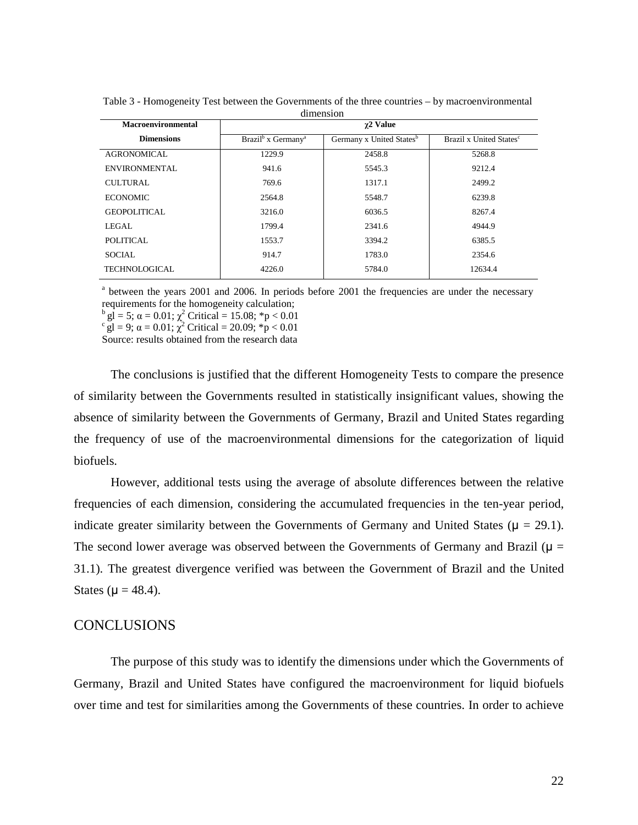| <b>Macroenvironmental</b> | $\gamma$ 2 Value                           |                                      |                                     |  |
|---------------------------|--------------------------------------------|--------------------------------------|-------------------------------------|--|
| <b>Dimensions</b>         | Brazil <sup>b</sup> x Germany <sup>a</sup> | Germany x United States <sup>b</sup> | Brazil x United States <sup>c</sup> |  |
| AGRONOMICAL               | 1229.9                                     | 2458.8                               | 5268.8                              |  |
| ENVIRONMENTAL             | 941.6                                      | 5545.3                               | 9212.4                              |  |
| CULTURAL.                 | 769.6                                      | 1317.1                               | 2499.2                              |  |
| <b>ECONOMIC</b>           | 2564.8                                     | 5548.7                               | 6239.8                              |  |
| <b>GEOPOLITICAL</b>       | 3216.0                                     | 6036.5                               | 8267.4                              |  |
| LEGAL.                    | 1799.4                                     | 2341.6                               | 4944.9                              |  |
| POLITICAL                 | 1553.7                                     | 3394.2                               | 6385.5                              |  |
| <b>SOCIAL</b>             | 914.7                                      | 1783.0                               | 2354.6                              |  |
| <b>TECHNOLOGICAL</b>      | 4226.0                                     | 5784.0                               | 12634.4                             |  |

Table 3 - Homogeneity Test between the Governments of the three countries – by macroenvironmental dimension

<sup>a</sup> between the years 2001 and 2006. In periods before 2001 the frequencies are under the necessary requirements for the homogeneity calculation;

 $\log$ <sup>b</sup> gl = 5;  $\alpha$  = 0.01;  $\chi^2$  Critical = 15.08; \*p < 0.01

 $\int_{c}^{c} g l = 9; \alpha = 0.01; \chi^{2}$  Critical = 20.09;  $\dot{p} < 0.01$ 

Source: results obtained from the research data

 The conclusions is justified that the different Homogeneity Tests to compare the presence of similarity between the Governments resulted in statistically insignificant values, showing the absence of similarity between the Governments of Germany, Brazil and United States regarding the frequency of use of the macroenvironmental dimensions for the categorization of liquid biofuels.

However, additional tests using the average of absolute differences between the relative frequencies of each dimension, considering the accumulated frequencies in the ten-year period, indicate greater similarity between the Governments of Germany and United States ( $\mu = 29.1$ ). The second lower average was observed between the Governments of Germany and Brazil ( $\mu$  = 31.1). The greatest divergence verified was between the Government of Brazil and the United States ( $\mu = 48.4$ ).

### **CONCLUSIONS**

The purpose of this study was to identify the dimensions under which the Governments of Germany, Brazil and United States have configured the macroenvironment for liquid biofuels over time and test for similarities among the Governments of these countries. In order to achieve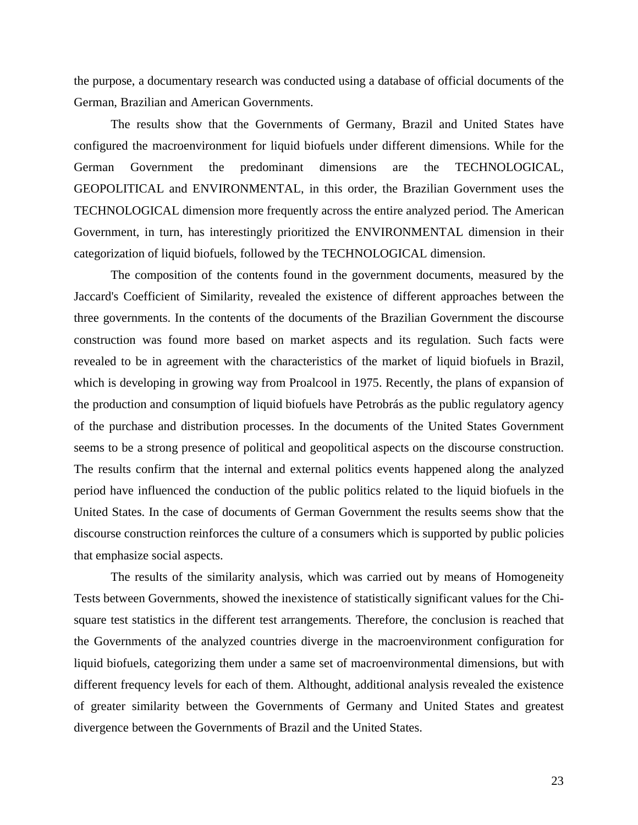the purpose, a documentary research was conducted using a database of official documents of the German, Brazilian and American Governments.

The results show that the Governments of Germany, Brazil and United States have configured the macroenvironment for liquid biofuels under different dimensions. While for the German Government the predominant dimensions are the TECHNOLOGICAL, GEOPOLITICAL and ENVIRONMENTAL, in this order, the Brazilian Government uses the TECHNOLOGICAL dimension more frequently across the entire analyzed period. The American Government, in turn, has interestingly prioritized the ENVIRONMENTAL dimension in their categorization of liquid biofuels, followed by the TECHNOLOGICAL dimension.

The composition of the contents found in the government documents, measured by the Jaccard's Coefficient of Similarity, revealed the existence of different approaches between the three governments. In the contents of the documents of the Brazilian Government the discourse construction was found more based on market aspects and its regulation. Such facts were revealed to be in agreement with the characteristics of the market of liquid biofuels in Brazil, which is developing in growing way from Proalcool in 1975. Recently, the plans of expansion of the production and consumption of liquid biofuels have Petrobrás as the public regulatory agency of the purchase and distribution processes. In the documents of the United States Government seems to be a strong presence of political and geopolitical aspects on the discourse construction. The results confirm that the internal and external politics events happened along the analyzed period have influenced the conduction of the public politics related to the liquid biofuels in the United States. In the case of documents of German Government the results seems show that the discourse construction reinforces the culture of a consumers which is supported by public policies that emphasize social aspects.

The results of the similarity analysis, which was carried out by means of Homogeneity Tests between Governments, showed the inexistence of statistically significant values for the Chisquare test statistics in the different test arrangements. Therefore, the conclusion is reached that the Governments of the analyzed countries diverge in the macroenvironment configuration for liquid biofuels, categorizing them under a same set of macroenvironmental dimensions, but with different frequency levels for each of them. Althought, additional analysis revealed the existence of greater similarity between the Governments of Germany and United States and greatest divergence between the Governments of Brazil and the United States.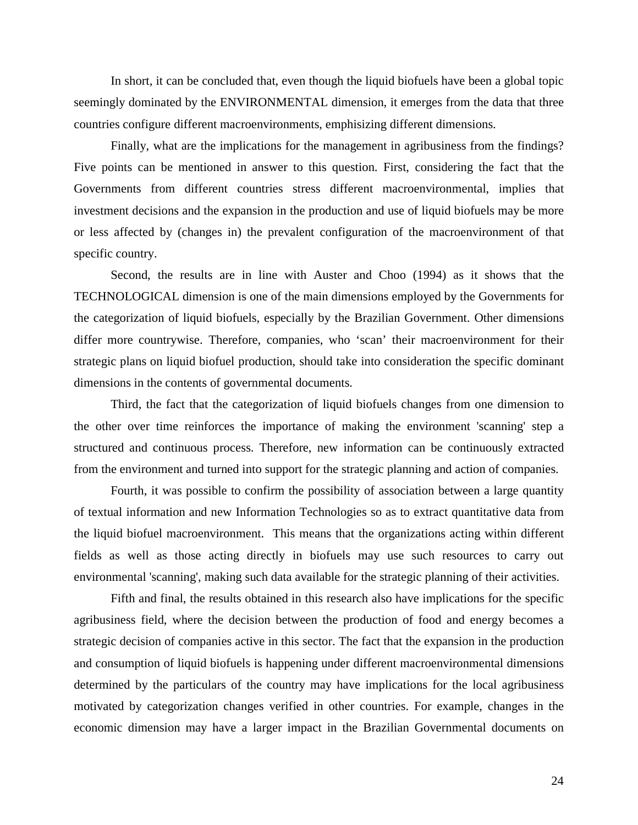In short, it can be concluded that, even though the liquid biofuels have been a global topic seemingly dominated by the ENVIRONMENTAL dimension, it emerges from the data that three countries configure different macroenvironments, emphisizing different dimensions.

Finally, what are the implications for the management in agribusiness from the findings? Five points can be mentioned in answer to this question. First, considering the fact that the Governments from different countries stress different macroenvironmental, implies that investment decisions and the expansion in the production and use of liquid biofuels may be more or less affected by (changes in) the prevalent configuration of the macroenvironment of that specific country.

Second, the results are in line with Auster and Choo (1994) as it shows that the TECHNOLOGICAL dimension is one of the main dimensions employed by the Governments for the categorization of liquid biofuels, especially by the Brazilian Government. Other dimensions differ more countrywise. Therefore, companies, who 'scan' their macroenvironment for their strategic plans on liquid biofuel production, should take into consideration the specific dominant dimensions in the contents of governmental documents.

Third, the fact that the categorization of liquid biofuels changes from one dimension to the other over time reinforces the importance of making the environment 'scanning' step a structured and continuous process. Therefore, new information can be continuously extracted from the environment and turned into support for the strategic planning and action of companies.

Fourth, it was possible to confirm the possibility of association between a large quantity of textual information and new Information Technologies so as to extract quantitative data from the liquid biofuel macroenvironment. This means that the organizations acting within different fields as well as those acting directly in biofuels may use such resources to carry out environmental 'scanning', making such data available for the strategic planning of their activities.

Fifth and final, the results obtained in this research also have implications for the specific agribusiness field, where the decision between the production of food and energy becomes a strategic decision of companies active in this sector. The fact that the expansion in the production and consumption of liquid biofuels is happening under different macroenvironmental dimensions determined by the particulars of the country may have implications for the local agribusiness motivated by categorization changes verified in other countries. For example, changes in the economic dimension may have a larger impact in the Brazilian Governmental documents on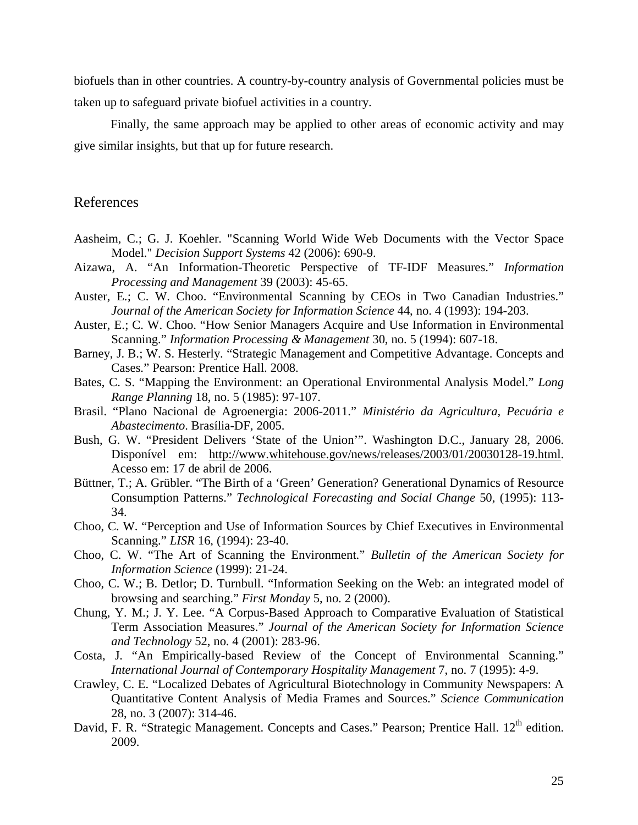biofuels than in other countries. A country-by-country analysis of Governmental policies must be taken up to safeguard private biofuel activities in a country.

Finally, the same approach may be applied to other areas of economic activity and may give similar insights, but that up for future research.

## References

- Aasheim, C.; G. J. Koehler. "Scanning World Wide Web Documents with the Vector Space Model." *Decision Support Systems* 42 (2006): 690-9.
- Aizawa, A. "An Information-Theoretic Perspective of TF-IDF Measures." *Information Processing and Management* 39 (2003): 45-65.
- Auster, E.; C. W. Choo. "Environmental Scanning by CEOs in Two Canadian Industries." *Journal of the American Society for Information Science* 44, no. 4 (1993): 194-203.
- Auster, E.; C. W. Choo. "How Senior Managers Acquire and Use Information in Environmental Scanning." *Information Processing & Management* 30, no. 5 (1994): 607-18.
- Barney, J. B.; W. S. Hesterly. "Strategic Management and Competitive Advantage. Concepts and Cases." Pearson: Prentice Hall. 2008.
- Bates, C. S. "Mapping the Environment: an Operational Environmental Analysis Model." *Long Range Planning* 18, no. 5 (1985): 97-107.
- Brasil. "Plano Nacional de Agroenergia: 2006-2011." *Ministério da Agricultura, Pecuária e Abastecimento*. Brasília-DF, 2005.
- Bush, G. W. "President Delivers 'State of the Union'". Washington D.C., January 28, 2006. Disponível em: http://www.whitehouse.gov/news/releases/2003/01/20030128-19.html. Acesso em: 17 de abril de 2006.
- Büttner, T.; A. Grübler. "The Birth of a 'Green' Generation? Generational Dynamics of Resource Consumption Patterns." *Technological Forecasting and Social Change* 50, (1995): 113- 34.
- Choo, C. W. "Perception and Use of Information Sources by Chief Executives in Environmental Scanning." *LISR* 16, (1994): 23-40.
- Choo, C. W. "The Art of Scanning the Environment." *Bulletin of the American Society for Information Science* (1999): 21-24.
- Choo, C. W.; B. Detlor; D. Turnbull. "Information Seeking on the Web: an integrated model of browsing and searching." *First Monday* 5, no. 2 (2000).
- Chung, Y. M.; J. Y. Lee. "A Corpus-Based Approach to Comparative Evaluation of Statistical Term Association Measures." *Journal of the American Society for Information Science and Technology* 52, no. 4 (2001): 283-96.
- Costa, J. "An Empirically-based Review of the Concept of Environmental Scanning." *International Journal of Contemporary Hospitality Management* 7, no. 7 (1995): 4-9.
- Crawley, C. E. "Localized Debates of Agricultural Biotechnology in Community Newspapers: A Quantitative Content Analysis of Media Frames and Sources." *Science Communication*  28, no. 3 (2007): 314-46.
- David, F. R. "Strategic Management. Concepts and Cases." Pearson; Prentice Hall. 12<sup>th</sup> edition. 2009.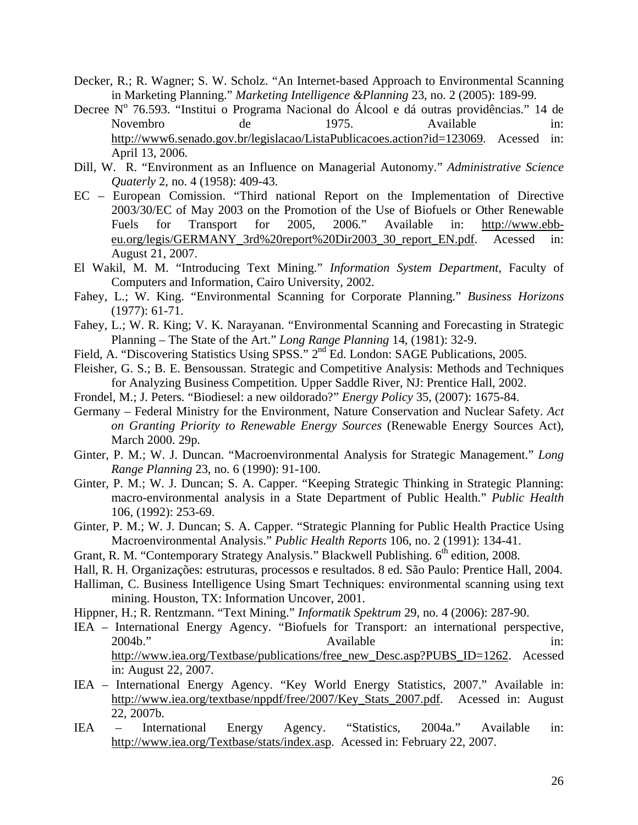- Decker, R.; R. Wagner; S. W. Scholz. "An Internet-based Approach to Environmental Scanning in Marketing Planning." *Marketing Intelligence &Planning* 23, no. 2 (2005): 189-99.
- Decree Nº 76.593. "Institui o Programa Nacional do Álcool e dá outras providências." 14 de Novembro de 1975. Available in: http://www6.senado.gov.br/legislacao/ListaPublicacoes.action?id=123069. Acessed in: April 13, 2006.
- Dill, W. R. "Environment as an Influence on Managerial Autonomy." *Administrative Science Quaterly* 2, no. 4 (1958): 409-43.
- EC European Comission. "Third national Report on the Implementation of Directive 2003/30/EC of May 2003 on the Promotion of the Use of Biofuels or Other Renewable Fuels for Transport for 2005, 2006." Available in: http://www.ebbeu.org/legis/GERMANY\_3rd%20report%20Dir2003\_30\_report\_EN.pdf. Acessed in: August 21, 2007.
- El Wakil, M. M. "Introducing Text Mining." *Information System Department*, Faculty of Computers and Information, Cairo University, 2002.
- Fahey, L.; W. King. "Environmental Scanning for Corporate Planning." *Business Horizons* (1977): 61-71.
- Fahey, L.; W. R. King; V. K. Narayanan. "Environmental Scanning and Forecasting in Strategic Planning – The State of the Art." *Long Range Planning* 14, (1981): 32-9.
- Field, A. "Discovering Statistics Using SPSS." 2<sup>nd</sup> Ed. London: SAGE Publications, 2005.
- Fleisher, G. S.; B. E. Bensoussan. Strategic and Competitive Analysis: Methods and Techniques for Analyzing Business Competition. Upper Saddle River, NJ: Prentice Hall, 2002.
- Frondel, M.; J. Peters. "Biodiesel: a new oildorado?" *Energy Policy* 35, (2007): 1675-84.
- Germany Federal Ministry for the Environment, Nature Conservation and Nuclear Safety. *Act on Granting Priority to Renewable Energy Sources* (Renewable Energy Sources Act), March 2000. 29p.
- Ginter, P. M.; W. J. Duncan. "Macroenvironmental Analysis for Strategic Management." *Long Range Planning* 23, no. 6 (1990): 91-100.
- Ginter, P. M.; W. J. Duncan; S. A. Capper. "Keeping Strategic Thinking in Strategic Planning: macro-environmental analysis in a State Department of Public Health." *Public Health* 106, (1992): 253-69.
- Ginter, P. M.; W. J. Duncan; S. A. Capper. "Strategic Planning for Public Health Practice Using Macroenvironmental Analysis." *Public Health Reports* 106, no. 2 (1991): 134-41.
- Grant, R. M. "Contemporary Strategy Analysis." Blackwell Publishing. 6<sup>th</sup> edition, 2008.
- Hall, R. H. Organizações: estruturas, processos e resultados. 8 ed. São Paulo: Prentice Hall, 2004.
- Halliman, C. Business Intelligence Using Smart Techniques: environmental scanning using text mining. Houston, TX: Information Uncover, 2001.
- Hippner, H.; R. Rentzmann. "Text Mining." *Informatik Spektrum* 29, no. 4 (2006): 287-90.
- IEA International Energy Agency. "Biofuels for Transport: an international perspective, 2004b." Available in: http://www.iea.org/Textbase/publications/free\_new\_Desc.asp?PUBS\_ID=1262. Acessed in: August 22, 2007.
- IEA International Energy Agency. "Key World Energy Statistics, 2007." Available in: http://www.iea.org/textbase/nppdf/free/2007/Key\_Stats\_2007.pdf. Acessed in: August 22, 2007b.
- IEA International Energy Agency. "Statistics, 2004a." Available in: http://www.iea.org/Textbase/stats/index.asp. Acessed in: February 22, 2007.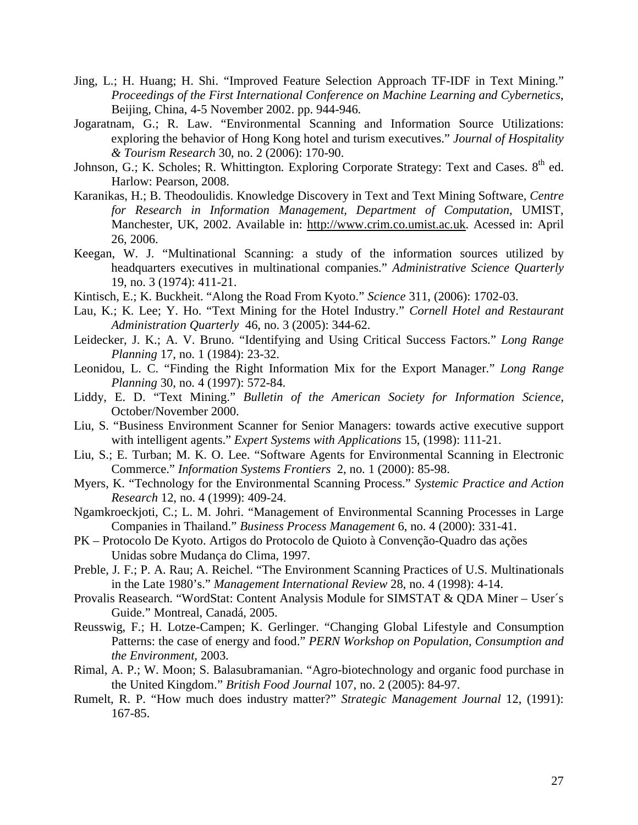- Jing, L.; H. Huang; H. Shi. "Improved Feature Selection Approach TF-IDF in Text Mining." *Proceedings of the First International Conference on Machine Learning and Cybernetics*, Beijing, China, 4-5 November 2002. pp. 944-946.
- Jogaratnam, G.; R. Law. "Environmental Scanning and Information Source Utilizations: exploring the behavior of Hong Kong hotel and turism executives." *Journal of Hospitality & Tourism Research* 30, no. 2 (2006): 170-90.
- Johnson, G.; K. Scholes; R. Whittington. Exploring Corporate Strategy: Text and Cases.  $8<sup>th</sup>$  ed. Harlow: Pearson, 2008.
- Karanikas, H.; B. Theodoulidis. Knowledge Discovery in Text and Text Mining Software, *Centre for Research in Information Management, Department of Computation*, UMIST, Manchester, UK, 2002. Available in: http://www.crim.co.umist.ac.uk. Acessed in: April 26, 2006.
- Keegan, W. J. "Multinational Scanning: a study of the information sources utilized by headquarters executives in multinational companies." *Administrative Science Quarterly* 19, no. 3 (1974): 411-21.
- Kintisch, E.; K. Buckheit. "Along the Road From Kyoto." *Science* 311, (2006): 1702-03.
- Lau, K.; K. Lee; Y. Ho. "Text Mining for the Hotel Industry." *Cornell Hotel and Restaurant Administration Quarterly* 46, no. 3 (2005): 344-62.
- Leidecker, J. K.; A. V. Bruno. "Identifying and Using Critical Success Factors." *Long Range Planning* 17, no. 1 (1984): 23-32.
- Leonidou, L. C. "Finding the Right Information Mix for the Export Manager." *Long Range Planning* 30, no. 4 (1997): 572-84.
- Liddy, E. D. "Text Mining." *Bulletin of the American Society for Information Science*, October/November 2000.
- Liu, S. "Business Environment Scanner for Senior Managers: towards active executive support with intelligent agents." *Expert Systems with Applications* 15, (1998): 111-21.
- Liu, S.; E. Turban; M. K. O. Lee. "Software Agents for Environmental Scanning in Electronic Commerce." *Information Systems Frontiers* 2, no. 1 (2000): 85-98.
- Myers, K. "Technology for the Environmental Scanning Process." *Systemic Practice and Action Research* 12, no. 4 (1999): 409-24.
- Ngamkroeckjoti, C.; L. M. Johri. "Management of Environmental Scanning Processes in Large Companies in Thailand." *Business Process Management* 6, no. 4 (2000): 331-41.
- PK Protocolo De Kyoto. Artigos do Protocolo de Quioto à Convenção-Quadro das ações Unidas sobre Mudança do Clima, 1997.
- Preble, J. F.; P. A. Rau; A. Reichel. "The Environment Scanning Practices of U.S. Multinationals in the Late 1980's." *Management International Review* 28, no. 4 (1998): 4-14.
- Provalis Reasearch. "WordStat: Content Analysis Module for SIMSTAT & QDA Miner User´s Guide." Montreal, Canadá, 2005.
- Reusswig, F.; H. Lotze-Campen; K. Gerlinger. "Changing Global Lifestyle and Consumption Patterns: the case of energy and food." *PERN Workshop on Population, Consumption and the Environment,* 2003.
- Rimal, A. P.; W. Moon; S. Balasubramanian. "Agro-biotechnology and organic food purchase in the United Kingdom." *British Food Journal* 107, no. 2 (2005): 84-97.
- Rumelt, R. P. "How much does industry matter?" *Strategic Management Journal* 12, (1991): 167-85.